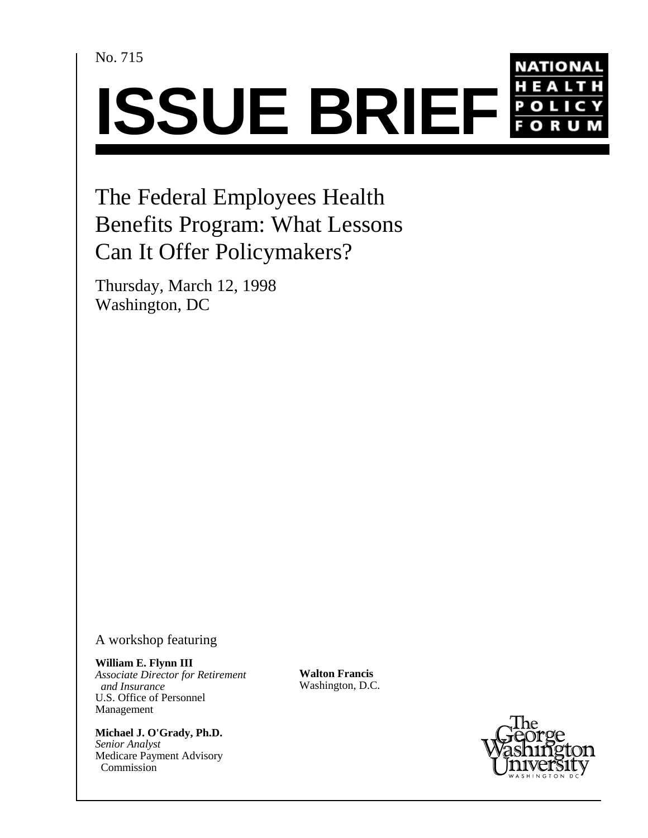No. 715



The Federal Employees Health Benefits Program: What Lessons Can It Offer Policymakers?

Thursday, March 12, 1998 Washington, DC

A workshop featuring

**William E. Flynn III** *Associate Director for Retirement and Insurance* U.S. Office of Personnel Management

**Michael J. O'Grady, Ph.D.** *Senior Analyst* Medicare Payment Advisory Commission

**Walton Francis** Washington, D.C.

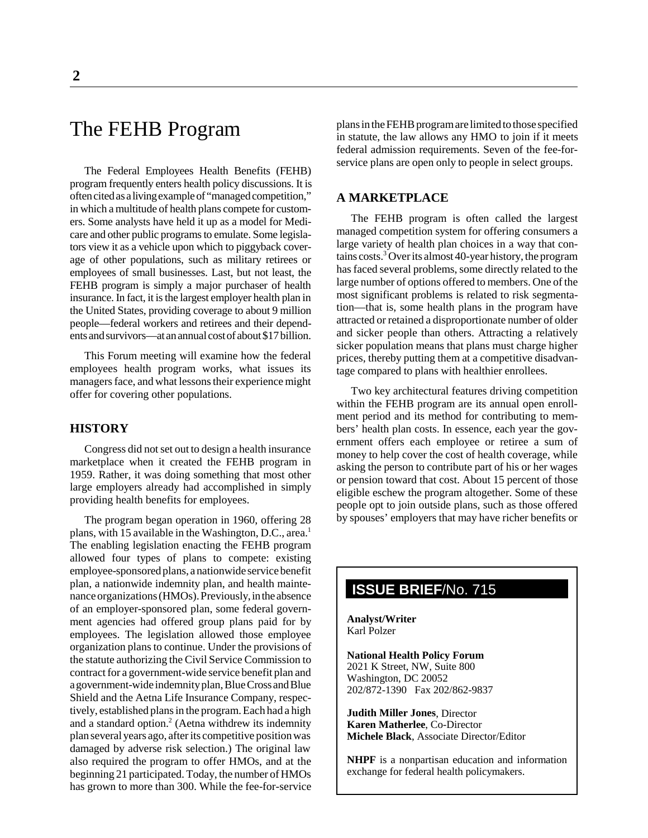# The FEHB Program

The Federal Employees Health Benefits (FEHB) program frequently enters health policy discussions. It is often cited as a living example of "managed competition," in which a multitude of health plans compete for customers. Some analysts have held it up as a model for Medicare and other public programs to emulate. Some legislators view it as a vehicle upon which to piggyback coverage of other populations, such as military retirees or employees of small businesses. Last, but not least, the FEHB program is simply a major purchaser of health insurance. In fact, it is the largest employer health plan in the United States, providing coverage to about 9 million people—federal workers and retirees and their dependents and survivors—at an annual cost of about \$17 billion.

This Forum meeting will examine how the federal employees health program works, what issues its managers face, and what lessons their experience might offer for covering other populations.

## **HISTORY**

Congress did not set out to design a health insurance marketplace when it created the FEHB program in 1959. Rather, it was doing something that most other large employers already had accomplished in simply providing health benefits for employees.

The program began operation in 1960, offering 28 plans, with 15 available in the Washington, D.C., area.<sup>1</sup> The enabling legislation enacting the FEHB program allowed four types of plans to compete: existing employee-sponsored plans, a nationwide service benefit plan, a nationwide indemnity plan, and health maintenance organizations (HMOs). Previously, in the absence of an employer-sponsored plan, some federal government agencies had offered group plans paid for by employees. The legislation allowed those employee organization plans to continue. Under the provisions of the statute authorizing the Civil Service Commission to contract for a government-wide service benefit plan and a government-wide indemnity plan, Blue Cross and Blue Shield and the Aetna Life Insurance Company, respectively, established plans in the program. Each had a high and a standard option.<sup>2</sup> (Aetna withdrew its indemnity plan several years ago, after its competitive position was damaged by adverse risk selection.) The original law also required the program to offer HMOs, and at the beginning 21 participated. Today, the number of HMOs has grown to more than 300. While the fee-for-service plans in the FEHB program are limited to those specified in statute, the law allows any HMO to join if it meets federal admission requirements. Seven of the fee-forservice plans are open only to people in select groups.

# **A MARKETPLACE**

The FEHB program is often called the largest managed competition system for offering consumers a large variety of health plan choices in a way that contains costs.<sup>3</sup> Over its almost 40-year history, the program has faced several problems, some directly related to the large number of options offered to members. One of the most significant problems is related to risk segmentation—that is, some health plans in the program have attracted or retained a disproportionate number of older and sicker people than others. Attracting a relatively sicker population means that plans must charge higher prices, thereby putting them at a competitive disadvantage compared to plans with healthier enrollees.

Two key architectural features driving competition within the FEHB program are its annual open enrollment period and its method for contributing to members' health plan costs. In essence, each year the government offers each employee or retiree a sum of money to help cover the cost of health coverage, while asking the person to contribute part of his or her wages or pension toward that cost. About 15 percent of those eligible eschew the program altogether. Some of these people opt to join outside plans, such as those offered by spouses' employers that may have richer benefits or

# **ISSUE BRIEF**/No. 715

**Analyst/Writer** Karl Polzer

**National Health Policy Forum** 2021 K Street, NW, Suite 800 Washington, DC 20052 202/872-1390 Fax 202/862-9837

**Judith Miller Jones**, Director **Karen Matherlee**, Co-Director **Michele Black**, Associate Director/Editor

**NHPF** is a nonpartisan education and information exchange for federal health policymakers.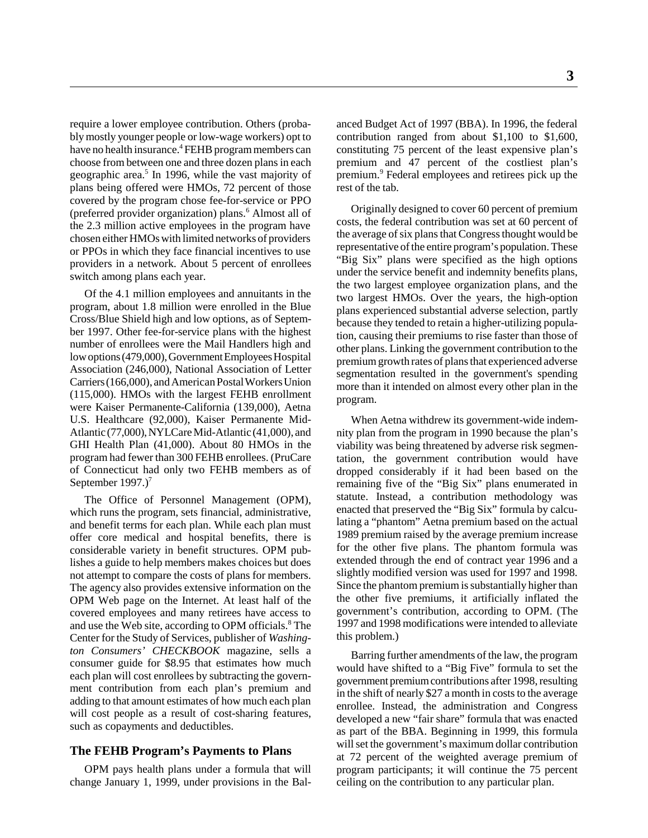require a lower employee contribution. Others (probably mostly younger people or low-wage workers) opt to have no health insurance.<sup>4</sup> FEHB program members can choose from between one and three dozen plans in each geographic area.<sup>5</sup> In 1996, while the vast majority of plans being offered were HMOs, 72 percent of those covered by the program chose fee-for-service or PPO (preferred provider organization) plans.<sup>6</sup> Almost all of the 2.3 million active employees in the program have chosen either HMOs with limited networks of providers or PPOs in which they face financial incentives to use providers in a network. About 5 percent of enrollees switch among plans each year.

Of the 4.1 million employees and annuitants in the program, about 1.8 million were enrolled in the Blue Cross/Blue Shield high and low options, as of September 1997. Other fee-for-service plans with the highest number of enrollees were the Mail Handlers high and low options (479,000), Government Employees Hospital Association (246,000), National Association of Letter Carriers (166,000), and American Postal Workers Union (115,000). HMOs with the largest FEHB enrollment were Kaiser Permanente-California (139,000), Aetna U.S. Healthcare (92,000), Kaiser Permanente Mid-Atlantic (77,000), NYLCare Mid-Atlantic (41,000), and GHI Health Plan (41,000). About 80 HMOs in the program had fewer than 300 FEHB enrollees. (PruCare of Connecticut had only two FEHB members as of September 1997.)<sup>7</sup>

The Office of Personnel Management (OPM), which runs the program, sets financial, administrative, and benefit terms for each plan. While each plan must offer core medical and hospital benefits, there is considerable variety in benefit structures. OPM publishes a guide to help members makes choices but does not attempt to compare the costs of plans for members. The agency also provides extensive information on the OPM Web page on the Internet. At least half of the covered employees and many retirees have access to and use the Web site, according to OPM officials.<sup>8</sup> The Center for the Study of Services, publisher of *Washington Consumers' CHECKBOOK* magazine, sells a consumer guide for \$8.95 that estimates how much each plan will cost enrollees by subtracting the government contribution from each plan's premium and adding to that amount estimates of how much each plan will cost people as a result of cost-sharing features, such as copayments and deductibles.

#### **The FEHB Program's Payments to Plans**

OPM pays health plans under a formula that will change January 1, 1999, under provisions in the Bal-

anced Budget Act of 1997 (BBA). In 1996, the federal contribution ranged from about \$1,100 to \$1,600, constituting 75 percent of the least expensive plan's premium and 47 percent of the costliest plan's premium.<sup>9</sup> Federal employees and retirees pick up the rest of the tab.

Originally designed to cover 60 percent of premium costs, the federal contribution was set at 60 percent of the average of six plans that Congress thought would be representative of the entire program's population. These "Big Six" plans were specified as the high options under the service benefit and indemnity benefits plans, the two largest employee organization plans, and the two largest HMOs. Over the years, the high-option plans experienced substantial adverse selection, partly because they tended to retain a higher-utilizing population, causing their premiums to rise faster than those of other plans. Linking the government contribution to the premium growth rates of plans that experienced adverse segmentation resulted in the government's spending more than it intended on almost every other plan in the program.

When Aetna withdrew its government-wide indemnity plan from the program in 1990 because the plan's viability was being threatened by adverse risk segmentation, the government contribution would have dropped considerably if it had been based on the remaining five of the "Big Six" plans enumerated in statute. Instead, a contribution methodology was enacted that preserved the "Big Six" formula by calculating a "phantom" Aetna premium based on the actual 1989 premium raised by the average premium increase for the other five plans. The phantom formula was extended through the end of contract year 1996 and a slightly modified version was used for 1997 and 1998. Since the phantom premium is substantially higher than the other five premiums, it artificially inflated the government's contribution, according to OPM. (The 1997 and 1998 modifications were intended to alleviate this problem.)

Barring further amendments of the law, the program would have shifted to a "Big Five" formula to set the government premium contributions after 1998, resulting in the shift of nearly \$27 a month in costs to the average enrollee. Instead, the administration and Congress developed a new "fair share" formula that was enacted as part of the BBA. Beginning in 1999, this formula will set the government's maximum dollar contribution at 72 percent of the weighted average premium of program participants; it will continue the 75 percent ceiling on the contribution to any particular plan.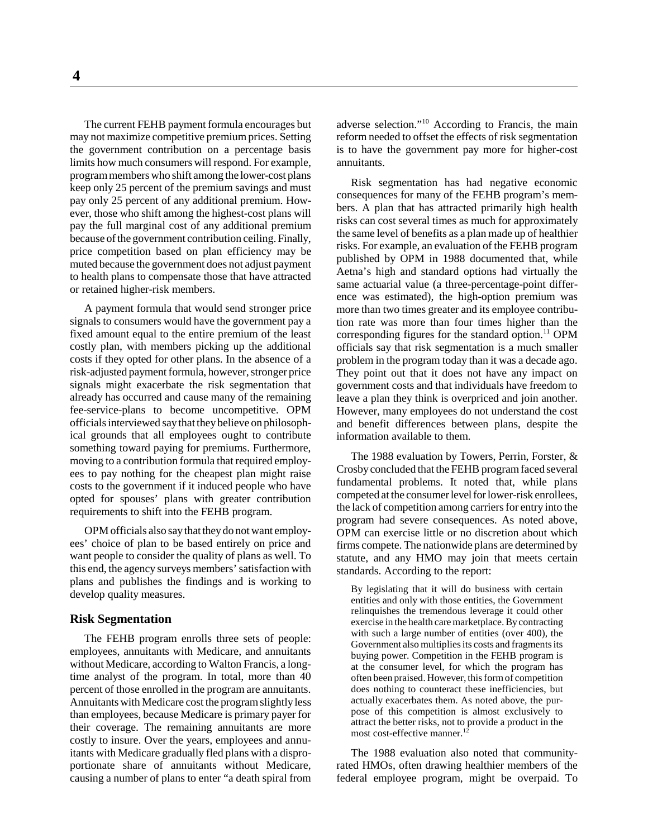The current FEHB payment formula encourages but may not maximize competitive premium prices. Setting the government contribution on a percentage basis limits how much consumers will respond. For example, program members who shift among the lower-cost plans keep only 25 percent of the premium savings and must pay only 25 percent of any additional premium. However, those who shift among the highest-cost plans will pay the full marginal cost of any additional premium because of the government contribution ceiling. Finally, price competition based on plan efficiency may be muted because the government does not adjust payment to health plans to compensate those that have attracted

or retained higher-risk members.

A payment formula that would send stronger price signals to consumers would have the government pay a fixed amount equal to the entire premium of the least costly plan, with members picking up the additional costs if they opted for other plans. In the absence of a risk-adjusted payment formula, however, stronger price signals might exacerbate the risk segmentation that already has occurred and cause many of the remaining fee-service-plans to become uncompetitive. OPM officials interviewed say that they believe on philosophical grounds that all employees ought to contribute something toward paying for premiums. Furthermore, moving to a contribution formula that required employees to pay nothing for the cheapest plan might raise costs to the government if it induced people who have opted for spouses' plans with greater contribution requirements to shift into the FEHB program.

OPM officials also say that they do not want employees' choice of plan to be based entirely on price and want people to consider the quality of plans as well. To this end, the agency surveys members' satisfaction with plans and publishes the findings and is working to develop quality measures.

#### **Risk Segmentation**

The FEHB program enrolls three sets of people: employees, annuitants with Medicare, and annuitants without Medicare, according to Walton Francis, a longtime analyst of the program. In total, more than 40 percent of those enrolled in the program are annuitants. Annuitants with Medicare cost the program slightly less than employees, because Medicare is primary payer for their coverage. The remaining annuitants are more costly to insure. Over the years, employees and annuitants with Medicare gradually fled plans with a disproportionate share of annuitants without Medicare, causing a number of plans to enter "a death spiral from

adverse selection."10 According to Francis, the main reform needed to offset the effects of risk segmentation is to have the government pay more for higher-cost annuitants.

Risk segmentation has had negative economic consequences for many of the FEHB program's members. A plan that has attracted primarily high health risks can cost several times as much for approximately the same level of benefits as a plan made up of healthier risks. For example, an evaluation of the FEHB program published by OPM in 1988 documented that, while Aetna's high and standard options had virtually the same actuarial value (a three-percentage-point difference was estimated), the high-option premium was more than two times greater and its employee contribution rate was more than four times higher than the corresponding figures for the standard option. $^{11}$  OPM officials say that risk segmentation is a much smaller problem in the program today than it was a decade ago. They point out that it does not have any impact on government costs and that individuals have freedom to leave a plan they think is overpriced and join another. However, many employees do not understand the cost and benefit differences between plans, despite the information available to them.

The 1988 evaluation by Towers, Perrin, Forster, & Crosby concluded that the FEHB program faced several fundamental problems. It noted that, while plans competed at the consumer level for lower-risk enrollees, the lack of competition among carriers for entry into the program had severe consequences. As noted above, OPM can exercise little or no discretion about which firms compete. The nationwide plans are determined by statute, and any HMO may join that meets certain standards. According to the report:

By legislating that it will do business with certain entities and only with those entities, the Government relinquishes the tremendous leverage it could other exercise in the health care marketplace. By contracting with such a large number of entities (over 400), the Government also multiplies its costs and fragments its buying power. Competition in the FEHB program is at the consumer level, for which the program has often been praised. However, this form of competition does nothing to counteract these inefficiencies, but actually exacerbates them. As noted above, the purpose of this competition is almost exclusively to attract the better risks, not to provide a product in the most cost-effective manner.<sup>12</sup>

The 1988 evaluation also noted that communityrated HMOs, often drawing healthier members of the federal employee program, might be overpaid. To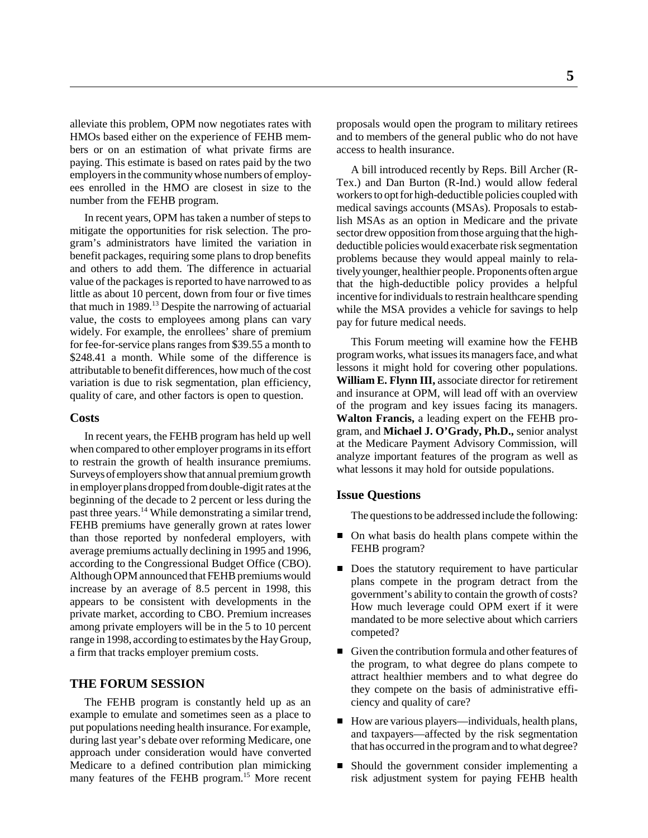alleviate this problem, OPM now negotiates rates with HMOs based either on the experience of FEHB members or on an estimation of what private firms are paying. This estimate is based on rates paid by the two employers in the community whose numbers of employees enrolled in the HMO are closest in size to the number from the FEHB program.

In recent years, OPM has taken a number of steps to mitigate the opportunities for risk selection. The program's administrators have limited the variation in benefit packages, requiring some plans to drop benefits and others to add them. The difference in actuarial value of the packages is reported to have narrowed to as little as about 10 percent, down from four or five times that much in  $1989$ <sup>13</sup> Despite the narrowing of actuarial value, the costs to employees among plans can vary widely. For example, the enrollees' share of premium for fee-for-service plans ranges from \$39.55 a month to \$248.41 a month. While some of the difference is attributable to benefit differences, how much of the cost variation is due to risk segmentation, plan efficiency, quality of care, and other factors is open to question.

#### **Costs**

In recent years, the FEHB program has held up well when compared to other employer programs in its effort to restrain the growth of health insurance premiums. Surveys of employers show that annual premium growth in employer plans dropped from double-digit rates at the beginning of the decade to 2 percent or less during the past three years.14 While demonstrating a similar trend, FEHB premiums have generally grown at rates lower than those reported by nonfederal employers, with average premiums actually declining in 1995 and 1996, according to the Congressional Budget Office (CBO). Although OPM announced that FEHB premiums would increase by an average of 8.5 percent in 1998, this appears to be consistent with developments in the private market, according to CBO. Premium increases among private employers will be in the 5 to 10 percent range in 1998, according to estimates by the Hay Group, a firm that tracks employer premium costs.

#### **THE FORUM SESSION**

The FEHB program is constantly held up as an example to emulate and sometimes seen as a place to put populations needing health insurance. For example, during last year's debate over reforming Medicare, one approach under consideration would have converted Medicare to a defined contribution plan mimicking many features of the FEHB program.<sup>15</sup> More recent proposals would open the program to military retirees and to members of the general public who do not have access to health insurance.

A bill introduced recently by Reps. Bill Archer (R-Tex.) and Dan Burton (R-Ind.) would allow federal workers to opt for high-deductible policies coupled with medical savings accounts (MSAs). Proposals to establish MSAs as an option in Medicare and the private sector drew opposition from those arguing that the highdeductible policies would exacerbate risk segmentation problems because they would appeal mainly to relatively younger, healthier people. Proponents often argue that the high-deductible policy provides a helpful incentive for individuals to restrain healthcare spending while the MSA provides a vehicle for savings to help pay for future medical needs.

This Forum meeting will examine how the FEHB program works, what issues its managers face, and what lessons it might hold for covering other populations. **William E. Flynn III,** associate director for retirement and insurance at OPM, will lead off with an overview of the program and key issues facing its managers. **Walton Francis,** a leading expert on the FEHB program, and **Michael J. O'Grady, Ph.D.,** senior analyst at the Medicare Payment Advisory Commission, will analyze important features of the program as well as what lessons it may hold for outside populations.

#### **Issue Questions**

The questions to be addressed include the following:

- On what basis do health plans compete within the FEHB program?
- Does the statutory requirement to have particular plans compete in the program detract from the government's ability to contain the growth of costs? How much leverage could OPM exert if it were mandated to be more selective about which carriers competed?
- Given the contribution formula and other features of the program, to what degree do plans compete to attract healthier members and to what degree do they compete on the basis of administrative efficiency and quality of care?
- How are various players—individuals, health plans, and taxpayers—affected by the risk segmentation that has occurred in the program and to what degree?
- Should the government consider implementing a risk adjustment system for paying FEHB health